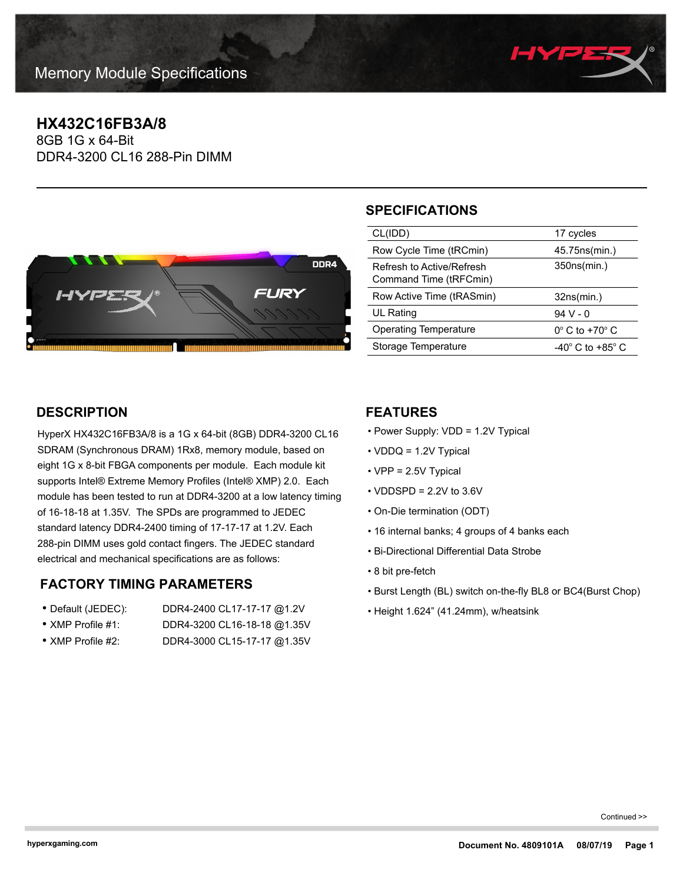

# **HX432C16FB3A/8**

8GB 1G x 64-Bit DDR4-3200 CL16 288-Pin DIMM



# **SPECIFICATIONS**

| CL(IDD)                                             | 17 cycles                            |
|-----------------------------------------------------|--------------------------------------|
| Row Cycle Time (tRCmin)                             | 45.75 ns (min.)                      |
| Refresh to Active/Refresh<br>Command Time (tRFCmin) | 350ns(min.)                          |
|                                                     |                                      |
| Row Active Time (tRASmin)                           | 32ns(min.)                           |
| UL Rating                                           | $94V - 0$                            |
| Operating Temperature                               | $0^\circ$ C to +70 $^\circ$ C        |
| Storage Temperature                                 | -40 $^{\circ}$ C to +85 $^{\circ}$ C |

## **DESCRIPTION**

HyperX HX432C16FB3A/8 is a 1G x 64-bit (8GB) DDR4-3200 CL16 SDRAM (Synchronous DRAM) 1Rx8, memory module, based on eight 1G x 8-bit FBGA components per module. Each module kit supports Intel® Extreme Memory Profiles (Intel® XMP) 2.0. Each module has been tested to run at DDR4-3200 at a low latency timing of 16-18-18 at 1.35V. The SPDs are programmed to JEDEC standard latency DDR4-2400 timing of 17-17-17 at 1.2V. Each 288-pin DIMM uses gold contact fingers. The JEDEC standard electrical and mechanical specifications are as follows:

### **FACTORY TIMING PARAMETERS**

- Default (JEDEC): DDR4-2400 CL17-17-17 @1.2V • XMP Profile #1: DDR4-3200 CL16-18-18 @1.35V
- XMP Profile #2: DDR4-3000 CL15-17-17 @1.35V
- 

### **FEATURES**

- Power Supply: VDD = 1.2V Typical
- VDDQ = 1.2V Typical
- VPP = 2.5V Typical
- $\cdot$  VDDSPD = 2.2V to 3.6V
- On-Die termination (ODT)
- 16 internal banks; 4 groups of 4 banks each
- Bi-Directional Differential Data Strobe
- 8 bit pre-fetch
- Burst Length (BL) switch on-the-fly BL8 or BC4(Burst Chop)
- Height 1.624" (41.24mm), w/heatsink